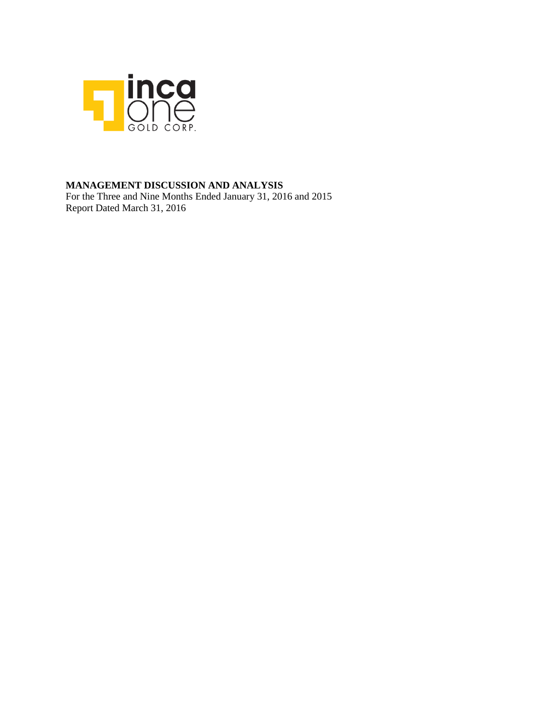

### **MANAGEMENT DISCUSSION AND ANALYSIS**

For the Three and Nine Months Ended January 31, 2016 and 2015 Report Dated March 31, 2016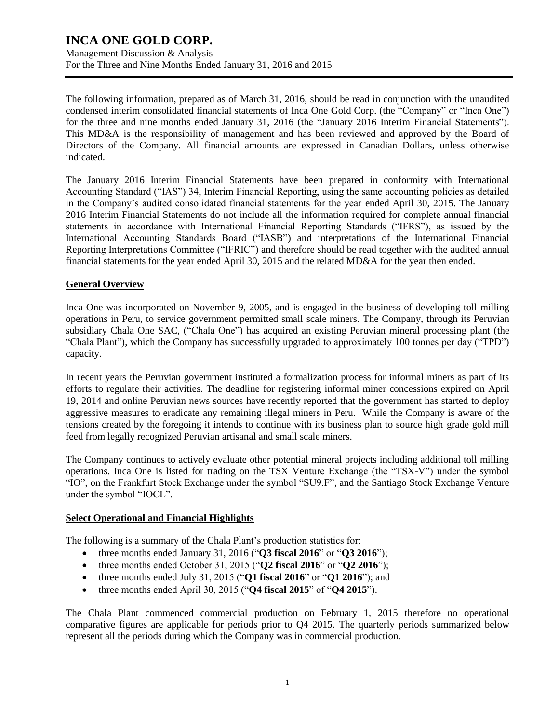Management Discussion & Analysis For the Three and Nine Months Ended January 31, 2016 and 2015

The following information, prepared as of March 31, 2016, should be read in conjunction with the unaudited condensed interim consolidated financial statements of Inca One Gold Corp. (the "Company" or "Inca One") for the three and nine months ended January 31, 2016 (the "January 2016 Interim Financial Statements"). This MD&A is the responsibility of management and has been reviewed and approved by the Board of Directors of the Company. All financial amounts are expressed in Canadian Dollars, unless otherwise indicated.

The January 2016 Interim Financial Statements have been prepared in conformity with International Accounting Standard ("IAS") 34, Interim Financial Reporting, using the same accounting policies as detailed in the Company's audited consolidated financial statements for the year ended April 30, 2015. The January 2016 Interim Financial Statements do not include all the information required for complete annual financial statements in accordance with International Financial Reporting Standards ("IFRS"), as issued by the International Accounting Standards Board ("IASB") and interpretations of the International Financial Reporting Interpretations Committee ("IFRIC") and therefore should be read together with the audited annual financial statements for the year ended April 30, 2015 and the related MD&A for the year then ended.

### **General Overview**

Inca One was incorporated on November 9, 2005, and is engaged in the business of developing toll milling operations in Peru, to service government permitted small scale miners. The Company, through its Peruvian subsidiary Chala One SAC, ("Chala One") has acquired an existing Peruvian mineral processing plant (the "Chala Plant"), which the Company has successfully upgraded to approximately 100 tonnes per day ("TPD") capacity.

In recent years the Peruvian government instituted a formalization process for informal miners as part of its efforts to regulate their activities. The deadline for registering informal miner concessions expired on April 19, 2014 and online Peruvian news sources have recently reported that the government has started to deploy aggressive measures to eradicate any remaining illegal miners in Peru. While the Company is aware of the tensions created by the foregoing it intends to continue with its business plan to source high grade gold mill feed from legally recognized Peruvian artisanal and small scale miners.

The Company continues to actively evaluate other potential mineral projects including additional toll milling operations. Inca One is listed for trading on the TSX Venture Exchange (the "TSX-V") under the symbol "IO", on the Frankfurt Stock Exchange under the symbol "SU9.F", and the Santiago Stock Exchange Venture under the symbol "IOCL".

### **Select Operational and Financial Highlights**

The following is a summary of the Chala Plant's production statistics for:

- three months ended January 31, 2016 ("**Q3 fiscal 2016**" or "**Q3 2016**");
- three months ended October 31, 2015 ("**Q2 fiscal 2016**" or "**Q2 2016**");
- three months ended July 31, 2015 ("**Q1 fiscal 2016**" or "**Q1 2016**"); and
- three months ended April 30, 2015 ("**Q4 fiscal 2015**" of "**Q4 2015**").

The Chala Plant commenced commercial production on February 1, 2015 therefore no operational comparative figures are applicable for periods prior to Q4 2015. The quarterly periods summarized below represent all the periods during which the Company was in commercial production.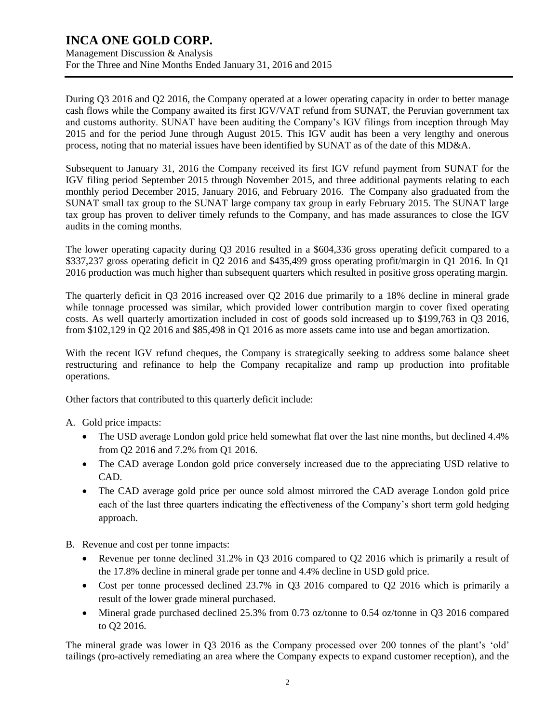Management Discussion & Analysis For the Three and Nine Months Ended January 31, 2016 and 2015

During Q3 2016 and Q2 2016, the Company operated at a lower operating capacity in order to better manage cash flows while the Company awaited its first IGV/VAT refund from SUNAT, the Peruvian government tax and customs authority. SUNAT have been auditing the Company's IGV filings from inception through May 2015 and for the period June through August 2015. This IGV audit has been a very lengthy and onerous process, noting that no material issues have been identified by SUNAT as of the date of this MD&A.

Subsequent to January 31, 2016 the Company received its first IGV refund payment from SUNAT for the IGV filing period September 2015 through November 2015, and three additional payments relating to each monthly period December 2015, January 2016, and February 2016. The Company also graduated from the SUNAT small tax group to the SUNAT large company tax group in early February 2015. The SUNAT large tax group has proven to deliver timely refunds to the Company, and has made assurances to close the IGV audits in the coming months.

The lower operating capacity during Q3 2016 resulted in a \$604,336 gross operating deficit compared to a \$337,237 gross operating deficit in Q2 2016 and \$435,499 gross operating profit/margin in Q1 2016. In Q1 2016 production was much higher than subsequent quarters which resulted in positive gross operating margin.

The quarterly deficit in Q3 2016 increased over Q2 2016 due primarily to a 18% decline in mineral grade while tonnage processed was similar, which provided lower contribution margin to cover fixed operating costs. As well quarterly amortization included in cost of goods sold increased up to \$199,763 in Q3 2016, from \$102,129 in Q2 2016 and \$85,498 in Q1 2016 as more assets came into use and began amortization.

With the recent IGV refund cheques, the Company is strategically seeking to address some balance sheet restructuring and refinance to help the Company recapitalize and ramp up production into profitable operations.

Other factors that contributed to this quarterly deficit include:

A. Gold price impacts:

- The USD average London gold price held somewhat flat over the last nine months, but declined 4.4% from Q2 2016 and 7.2% from Q1 2016.
- The CAD average London gold price conversely increased due to the appreciating USD relative to CAD.
- The CAD average gold price per ounce sold almost mirrored the CAD average London gold price each of the last three quarters indicating the effectiveness of the Company's short term gold hedging approach.
- B. Revenue and cost per tonne impacts:
	- Revenue per tonne declined 31.2% in Q3 2016 compared to Q2 2016 which is primarily a result of the 17.8% decline in mineral grade per tonne and 4.4% decline in USD gold price.
	- Cost per tonne processed declined 23.7% in Q3 2016 compared to Q2 2016 which is primarily a result of the lower grade mineral purchased.
	- Mineral grade purchased declined 25.3% from 0.73 oz/tonne to 0.54 oz/tonne in Q3 2016 compared to Q2 2016.

The mineral grade was lower in Q3 2016 as the Company processed over 200 tonnes of the plant's 'old' tailings (pro-actively remediating an area where the Company expects to expand customer reception), and the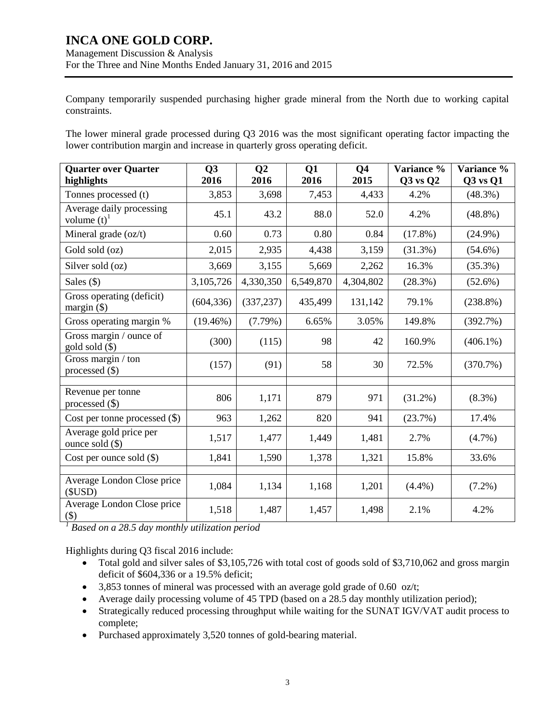Company temporarily suspended purchasing higher grade mineral from the North due to working capital constraints.

The lower mineral grade processed during Q3 2016 was the most significant operating factor impacting the lower contribution margin and increase in quarterly gross operating deficit.

| <b>Quarter over Quarter</b><br>highlights             | Q3<br>2016  | Q <sub>2</sub><br>2016 | Q1<br>2016 | <b>Q4</b><br>2015 | Variance %<br>$Q3$ vs $Q2$ | Variance %<br>$Q3$ vs $Q1$ |
|-------------------------------------------------------|-------------|------------------------|------------|-------------------|----------------------------|----------------------------|
| Tonnes processed (t)                                  | 3,853       | 3,698                  | 7,453      | 4,433             | 4.2%                       | $(48.3\%)$                 |
| Average daily processing<br>volume $(t)$ <sup>1</sup> | 45.1        | 43.2                   | 88.0       | 52.0              | 4.2%                       | $(48.8\%)$                 |
| Mineral grade (oz/t)                                  | 0.60        | 0.73                   | 0.80       | 0.84              | $(17.8\%)$                 | $(24.9\%)$                 |
| Gold sold (oz)                                        | 2,015       | 2,935                  | 4,438      | 3,159             | $(31.3\%)$                 | $(54.6\%)$                 |
| Silver sold (oz)                                      | 3,669       | 3,155                  | 5,669      | 2,262             | 16.3%                      | (35.3%)                    |
| Sales $($ )                                           | 3,105,726   | 4,330,350              | 6,549,870  | 4,304,802         | (28.3%)                    | $(52.6\%)$                 |
| Gross operating (deficit)<br>margin $(\$)$            | (604, 336)  | (337, 237)             | 435,499    | 131,142           | 79.1%                      | $(238.8\%)$                |
| Gross operating margin %                              | $(19.46\%)$ | (7.79%)                | 6.65%      | 3.05%             | 149.8%                     | (392.7%)                   |
| Gross margin / ounce of<br>gold sold (\$)             | (300)       | (115)                  | 98         | 42                | 160.9%                     | $(406.1\%)$                |
| Gross margin / ton<br>processed $(\$)$                | (157)       | (91)                   | 58         | 30                | 72.5%                      | (370.7%)                   |
| Revenue per tonne<br>processed $(\$)$                 | 806         | 1,171                  | 879        | 971               | $(31.2\%)$                 | $(8.3\%)$                  |
| Cost per tonne processed $(\$)$                       | 963         | 1,262                  | 820        | 941               | (23.7%)                    | 17.4%                      |
| Average gold price per<br>ounce sold $(\$)$           | 1,517       | 1,477                  | 1,449      | 1,481             | 2.7%                       | $(4.7\%)$                  |
| Cost per ounce sold $(\$)$                            | 1,841       | 1,590                  | 1,378      | 1,321             | 15.8%                      | 33.6%                      |
| Average London Close price<br>(SUSD)                  | 1,084       | 1,134                  | 1,168      | 1,201             | $(4.4\%)$                  | $(7.2\%)$                  |
| Average London Close price<br>\$)                     | 1,518       | 1,487                  | 1,457      | 1,498             | 2.1%                       | 4.2%                       |

*<sup>1</sup> Based on a 28.5 day monthly utilization period*

Highlights during Q3 fiscal 2016 include:

- Total gold and silver sales of \$3,105,726 with total cost of goods sold of \$3,710,062 and gross margin deficit of \$604,336 or a 19.5% deficit;
- 3,853 tonnes of mineral was processed with an average gold grade of 0.60 oz/t;
- Average daily processing volume of 45 TPD (based on a 28.5 day monthly utilization period);
- Strategically reduced processing throughput while waiting for the SUNAT IGV/VAT audit process to complete;
- Purchased approximately 3,520 tonnes of gold-bearing material.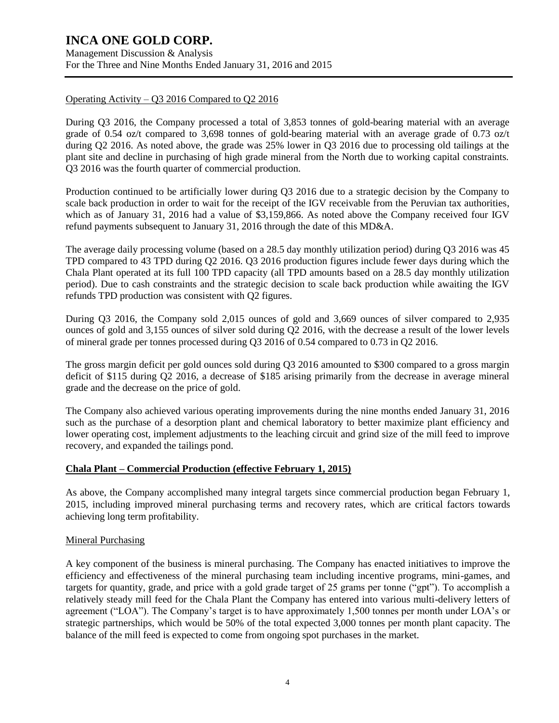Management Discussion & Analysis For the Three and Nine Months Ended January 31, 2016 and 2015

### Operating Activity – Q3 2016 Compared to Q2 2016

During Q3 2016, the Company processed a total of 3,853 tonnes of gold-bearing material with an average grade of 0.54 oz/t compared to 3,698 tonnes of gold-bearing material with an average grade of 0.73 oz/t during Q2 2016. As noted above, the grade was 25% lower in Q3 2016 due to processing old tailings at the plant site and decline in purchasing of high grade mineral from the North due to working capital constraints. Q3 2016 was the fourth quarter of commercial production.

Production continued to be artificially lower during Q3 2016 due to a strategic decision by the Company to scale back production in order to wait for the receipt of the IGV receivable from the Peruvian tax authorities, which as of January 31, 2016 had a value of \$3,159,866. As noted above the Company received four IGV refund payments subsequent to January 31, 2016 through the date of this MD&A.

The average daily processing volume (based on a 28.5 day monthly utilization period) during Q3 2016 was 45 TPD compared to 43 TPD during Q2 2016. Q3 2016 production figures include fewer days during which the Chala Plant operated at its full 100 TPD capacity (all TPD amounts based on a 28.5 day monthly utilization period). Due to cash constraints and the strategic decision to scale back production while awaiting the IGV refunds TPD production was consistent with Q2 figures.

During Q3 2016, the Company sold 2,015 ounces of gold and 3,669 ounces of silver compared to 2,935 ounces of gold and 3,155 ounces of silver sold during Q2 2016, with the decrease a result of the lower levels of mineral grade per tonnes processed during Q3 2016 of 0.54 compared to 0.73 in Q2 2016.

The gross margin deficit per gold ounces sold during Q3 2016 amounted to \$300 compared to a gross margin deficit of \$115 during Q2 2016, a decrease of \$185 arising primarily from the decrease in average mineral grade and the decrease on the price of gold.

The Company also achieved various operating improvements during the nine months ended January 31, 2016 such as the purchase of a desorption plant and chemical laboratory to better maximize plant efficiency and lower operating cost, implement adjustments to the leaching circuit and grind size of the mill feed to improve recovery, and expanded the tailings pond.

### **Chala Plant – Commercial Production (effective February 1, 2015)**

As above, the Company accomplished many integral targets since commercial production began February 1, 2015, including improved mineral purchasing terms and recovery rates, which are critical factors towards achieving long term profitability.

### Mineral Purchasing

A key component of the business is mineral purchasing. The Company has enacted initiatives to improve the efficiency and effectiveness of the mineral purchasing team including incentive programs, mini-games, and targets for quantity, grade, and price with a gold grade target of 25 grams per tonne ("gpt"). To accomplish a relatively steady mill feed for the Chala Plant the Company has entered into various multi-delivery letters of agreement ("LOA"). The Company's target is to have approximately 1,500 tonnes per month under LOA's or strategic partnerships, which would be 50% of the total expected 3,000 tonnes per month plant capacity. The balance of the mill feed is expected to come from ongoing spot purchases in the market.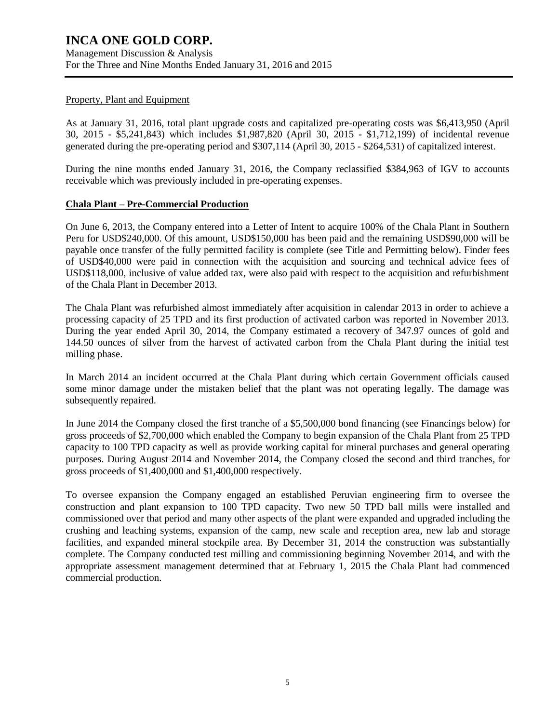#### Property, Plant and Equipment

As at January 31, 2016, total plant upgrade costs and capitalized pre-operating costs was \$6,413,950 (April 30, 2015 - \$5,241,843) which includes \$1,987,820 (April 30, 2015 - \$1,712,199) of incidental revenue generated during the pre-operating period and \$307,114 (April 30, 2015 - \$264,531) of capitalized interest.

During the nine months ended January 31, 2016, the Company reclassified \$384,963 of IGV to accounts receivable which was previously included in pre-operating expenses.

#### **Chala Plant – Pre-Commercial Production**

On June 6, 2013, the Company entered into a Letter of Intent to acquire 100% of the Chala Plant in Southern Peru for USD\$240,000. Of this amount, USD\$150,000 has been paid and the remaining USD\$90,000 will be payable once transfer of the fully permitted facility is complete (see Title and Permitting below). Finder fees of USD\$40,000 were paid in connection with the acquisition and sourcing and technical advice fees of USD\$118,000, inclusive of value added tax, were also paid with respect to the acquisition and refurbishment of the Chala Plant in December 2013.

The Chala Plant was refurbished almost immediately after acquisition in calendar 2013 in order to achieve a processing capacity of 25 TPD and its first production of activated carbon was reported in November 2013. During the year ended April 30, 2014, the Company estimated a recovery of 347.97 ounces of gold and 144.50 ounces of silver from the harvest of activated carbon from the Chala Plant during the initial test milling phase.

In March 2014 an incident occurred at the Chala Plant during which certain Government officials caused some minor damage under the mistaken belief that the plant was not operating legally. The damage was subsequently repaired.

In June 2014 the Company closed the first tranche of a \$5,500,000 bond financing (see Financings below) for gross proceeds of \$2,700,000 which enabled the Company to begin expansion of the Chala Plant from 25 TPD capacity to 100 TPD capacity as well as provide working capital for mineral purchases and general operating purposes. During August 2014 and November 2014, the Company closed the second and third tranches, for gross proceeds of \$1,400,000 and \$1,400,000 respectively.

To oversee expansion the Company engaged an established Peruvian engineering firm to oversee the construction and plant expansion to 100 TPD capacity. Two new 50 TPD ball mills were installed and commissioned over that period and many other aspects of the plant were expanded and upgraded including the crushing and leaching systems, expansion of the camp, new scale and reception area, new lab and storage facilities, and expanded mineral stockpile area. By December 31, 2014 the construction was substantially complete. The Company conducted test milling and commissioning beginning November 2014, and with the appropriate assessment management determined that at February 1, 2015 the Chala Plant had commenced commercial production.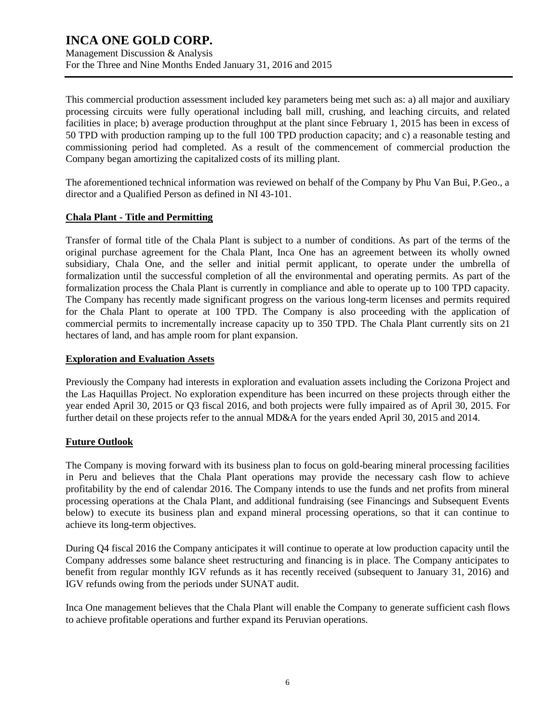Management Discussion & Analysis For the Three and Nine Months Ended January 31, 2016 and 2015

This commercial production assessment included key parameters being met such as: a) all major and auxiliary processing circuits were fully operational including ball mill, crushing, and leaching circuits, and related facilities in place; b) average production throughput at the plant since February 1, 2015 has been in excess of 50 TPD with production ramping up to the full 100 TPD production capacity; and c) a reasonable testing and commissioning period had completed. As a result of the commencement of commercial production the Company began amortizing the capitalized costs of its milling plant.

The aforementioned technical information was reviewed on behalf of the Company by Phu Van Bui, P.Geo., a director and a Qualified Person as defined in NI 43-101.

### **Chala Plant - Title and Permitting**

Transfer of formal title of the Chala Plant is subject to a number of conditions. As part of the terms of the original purchase agreement for the Chala Plant, Inca One has an agreement between its wholly owned subsidiary, Chala One, and the seller and initial permit applicant, to operate under the umbrella of formalization until the successful completion of all the environmental and operating permits. As part of the formalization process the Chala Plant is currently in compliance and able to operate up to 100 TPD capacity. The Company has recently made significant progress on the various long-term licenses and permits required for the Chala Plant to operate at 100 TPD. The Company is also proceeding with the application of commercial permits to incrementally increase capacity up to 350 TPD. The Chala Plant currently sits on 21 hectares of land, and has ample room for plant expansion.

### **Exploration and Evaluation Assets**

Previously the Company had interests in exploration and evaluation assets including the Corizona Project and the Las Haquillas Project. No exploration expenditure has been incurred on these projects through either the year ended April 30, 2015 or Q3 fiscal 2016, and both projects were fully impaired as of April 30, 2015. For further detail on these projects refer to the annual MD&A for the years ended April 30, 2015 and 2014.

### **Future Outlook**

The Company is moving forward with its business plan to focus on gold-bearing mineral processing facilities in Peru and believes that the Chala Plant operations may provide the necessary cash flow to achieve profitability by the end of calendar 2016. The Company intends to use the funds and net profits from mineral processing operations at the Chala Plant, and additional fundraising (see Financings and Subsequent Events below) to execute its business plan and expand mineral processing operations, so that it can continue to achieve its long-term objectives.

During Q4 fiscal 2016 the Company anticipates it will continue to operate at low production capacity until the Company addresses some balance sheet restructuring and financing is in place. The Company anticipates to benefit from regular monthly IGV refunds as it has recently received (subsequent to January 31, 2016) and IGV refunds owing from the periods under SUNAT audit.

Inca One management believes that the Chala Plant will enable the Company to generate sufficient cash flows to achieve profitable operations and further expand its Peruvian operations.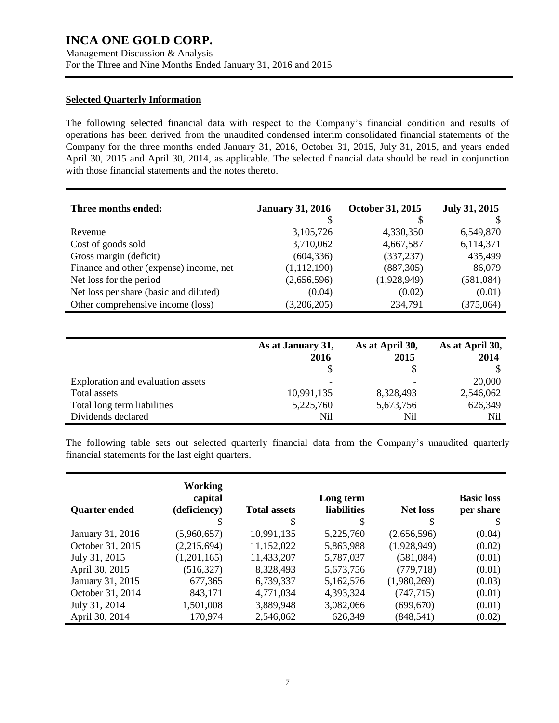### **Selected Quarterly Information**

The following selected financial data with respect to the Company's financial condition and results of operations has been derived from the unaudited condensed interim consolidated financial statements of the Company for the three months ended January 31, 2016, October 31, 2015, July 31, 2015, and years ended April 30, 2015 and April 30, 2014, as applicable. The selected financial data should be read in conjunction with those financial statements and the notes thereto.

| Three months ended:                     | <b>January 31, 2016</b> | October 31, 2015 | <b>July 31, 2015</b> |
|-----------------------------------------|-------------------------|------------------|----------------------|
|                                         |                         |                  |                      |
| Revenue                                 | 3,105,726               | 4,330,350        | 6,549,870            |
| Cost of goods sold                      | 3,710,062               | 4,667,587        | 6,114,371            |
| Gross margin (deficit)                  | (604, 336)              | (337, 237)       | 435,499              |
| Finance and other (expense) income, net | (1,112,190)             | (887, 305)       | 86,079               |
| Net loss for the period                 | (2,656,596)             | (1,928,949)      | (581,084)            |
| Net loss per share (basic and diluted)  | (0.04)                  | (0.02)           | (0.01)               |
| Other comprehensive income (loss)       | (3,206,205)             | 234,791          | (375,064)            |

|                                   | As at January 31,<br>2016 | As at April 30,<br>2015 | As at April 30,<br>2014 |
|-----------------------------------|---------------------------|-------------------------|-------------------------|
|                                   |                           |                         |                         |
| Exploration and evaluation assets |                           |                         | 20,000                  |
| Total assets                      | 10,991,135                | 8,328,493               | 2,546,062               |
| Total long term liabilities       | 5,225,760                 | 5,673,756               | 626,349                 |
| Dividends declared                | Nil                       | Nil                     | Nil                     |

The following table sets out selected quarterly financial data from the Company's unaudited quarterly financial statements for the last eight quarters.

|                      | Working<br>capital |                     | Long term          |                 | <b>Basic loss</b> |
|----------------------|--------------------|---------------------|--------------------|-----------------|-------------------|
| <b>Quarter ended</b> | (deficiency)       | <b>Total assets</b> | <b>liabilities</b> | <b>Net loss</b> | per share         |
|                      |                    | \$                  | \$                 | <sup>\$</sup>   | S                 |
| January 31, 2016     | (5,960,657)        | 10,991,135          | 5,225,760          | (2,656,596)     | (0.04)            |
| October 31, 2015     | (2,215,694)        | 11,152,022          | 5,863,988          | (1,928,949)     | (0.02)            |
| July 31, 2015        | (1,201,165)        | 11,433,207          | 5,787,037          | (581,084)       | (0.01)            |
| April 30, 2015       | (516, 327)         | 8,328,493           | 5,673,756          | (779, 718)      | (0.01)            |
| January 31, 2015     | 677,365            | 6,739,337           | 5,162,576          | (1,980,269)     | (0.03)            |
| October 31, 2014     | 843,171            | 4,771,034           | 4,393,324          | (747, 715)      | (0.01)            |
| July 31, 2014        | 1,501,008          | 3,889,948           | 3,082,066          | (699, 670)      | (0.01)            |
| April 30, 2014       | 170,974            | 2,546,062           | 626,349            | (848, 541)      | (0.02)            |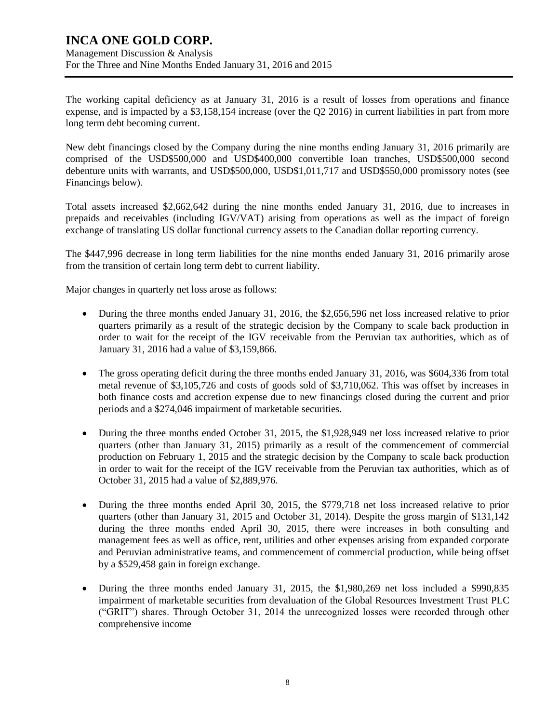### **INCA ONE GOLD CORP.** Management Discussion & Analysis

For the Three and Nine Months Ended January 31, 2016 and 2015

The working capital deficiency as at January 31, 2016 is a result of losses from operations and finance expense, and is impacted by a \$3,158,154 increase (over the Q2 2016) in current liabilities in part from more long term debt becoming current.

New debt financings closed by the Company during the nine months ending January 31, 2016 primarily are comprised of the USD\$500,000 and USD\$400,000 convertible loan tranches, USD\$500,000 second debenture units with warrants, and USD\$500,000, USD\$1,011,717 and USD\$550,000 promissory notes (see Financings below).

Total assets increased \$2,662,642 during the nine months ended January 31, 2016, due to increases in prepaids and receivables (including IGV/VAT) arising from operations as well as the impact of foreign exchange of translating US dollar functional currency assets to the Canadian dollar reporting currency.

The \$447,996 decrease in long term liabilities for the nine months ended January 31, 2016 primarily arose from the transition of certain long term debt to current liability.

Major changes in quarterly net loss arose as follows:

- During the three months ended January 31, 2016, the \$2,656,596 net loss increased relative to prior quarters primarily as a result of the strategic decision by the Company to scale back production in order to wait for the receipt of the IGV receivable from the Peruvian tax authorities, which as of January 31, 2016 had a value of \$3,159,866.
- The gross operating deficit during the three months ended January 31, 2016, was \$604,336 from total metal revenue of \$3,105,726 and costs of goods sold of \$3,710,062. This was offset by increases in both finance costs and accretion expense due to new financings closed during the current and prior periods and a \$274,046 impairment of marketable securities.
- During the three months ended October 31, 2015, the \$1,928,949 net loss increased relative to prior quarters (other than January 31, 2015) primarily as a result of the commencement of commercial production on February 1, 2015 and the strategic decision by the Company to scale back production in order to wait for the receipt of the IGV receivable from the Peruvian tax authorities, which as of October 31, 2015 had a value of \$2,889,976.
- During the three months ended April 30, 2015, the \$779,718 net loss increased relative to prior quarters (other than January 31, 2015 and October 31, 2014). Despite the gross margin of \$131,142 during the three months ended April 30, 2015, there were increases in both consulting and management fees as well as office, rent, utilities and other expenses arising from expanded corporate and Peruvian administrative teams, and commencement of commercial production, while being offset by a \$529,458 gain in foreign exchange.
- During the three months ended January 31, 2015, the \$1,980,269 net loss included a \$990,835 impairment of marketable securities from devaluation of the Global Resources Investment Trust PLC ("GRIT") shares. Through October 31, 2014 the unrecognized losses were recorded through other comprehensive income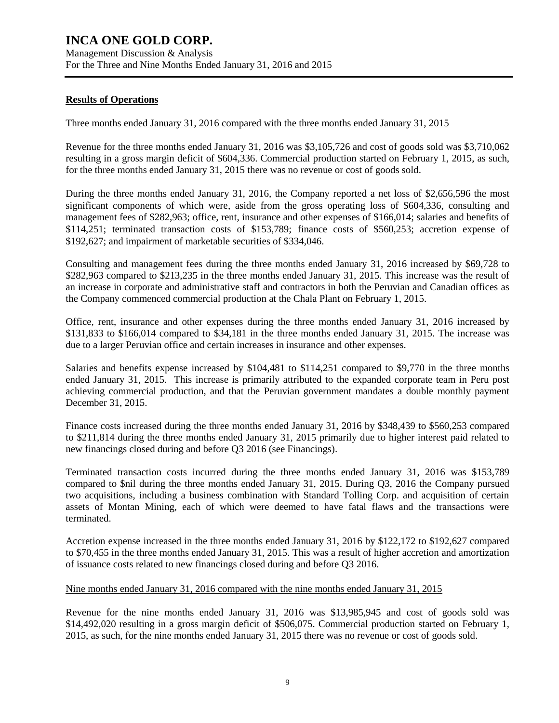### **Results of Operations**

#### Three months ended January 31, 2016 compared with the three months ended January 31, 2015

Revenue for the three months ended January 31, 2016 was \$3,105,726 and cost of goods sold was \$3,710,062 resulting in a gross margin deficit of \$604,336. Commercial production started on February 1, 2015, as such, for the three months ended January 31, 2015 there was no revenue or cost of goods sold.

During the three months ended January 31, 2016, the Company reported a net loss of \$2,656,596 the most significant components of which were, aside from the gross operating loss of \$604,336, consulting and management fees of \$282,963; office, rent, insurance and other expenses of \$166,014; salaries and benefits of \$114,251; terminated transaction costs of \$153,789; finance costs of \$560,253; accretion expense of \$192,627; and impairment of marketable securities of \$334,046.

Consulting and management fees during the three months ended January 31, 2016 increased by \$69,728 to \$282,963 compared to \$213,235 in the three months ended January 31, 2015. This increase was the result of an increase in corporate and administrative staff and contractors in both the Peruvian and Canadian offices as the Company commenced commercial production at the Chala Plant on February 1, 2015.

Office, rent, insurance and other expenses during the three months ended January 31, 2016 increased by \$131,833 to \$166,014 compared to \$34,181 in the three months ended January 31, 2015. The increase was due to a larger Peruvian office and certain increases in insurance and other expenses.

Salaries and benefits expense increased by \$104,481 to \$114,251 compared to \$9,770 in the three months ended January 31, 2015. This increase is primarily attributed to the expanded corporate team in Peru post achieving commercial production, and that the Peruvian government mandates a double monthly payment December 31, 2015.

Finance costs increased during the three months ended January 31, 2016 by \$348,439 to \$560,253 compared to \$211,814 during the three months ended January 31, 2015 primarily due to higher interest paid related to new financings closed during and before Q3 2016 (see Financings).

Terminated transaction costs incurred during the three months ended January 31, 2016 was \$153,789 compared to \$nil during the three months ended January 31, 2015. During Q3, 2016 the Company pursued two acquisitions, including a business combination with Standard Tolling Corp. and acquisition of certain assets of Montan Mining, each of which were deemed to have fatal flaws and the transactions were terminated.

Accretion expense increased in the three months ended January 31, 2016 by \$122,172 to \$192,627 compared to \$70,455 in the three months ended January 31, 2015. This was a result of higher accretion and amortization of issuance costs related to new financings closed during and before Q3 2016.

#### Nine months ended January 31, 2016 compared with the nine months ended January 31, 2015

Revenue for the nine months ended January 31, 2016 was \$13,985,945 and cost of goods sold was \$14,492,020 resulting in a gross margin deficit of \$506,075. Commercial production started on February 1, 2015, as such, for the nine months ended January 31, 2015 there was no revenue or cost of goods sold.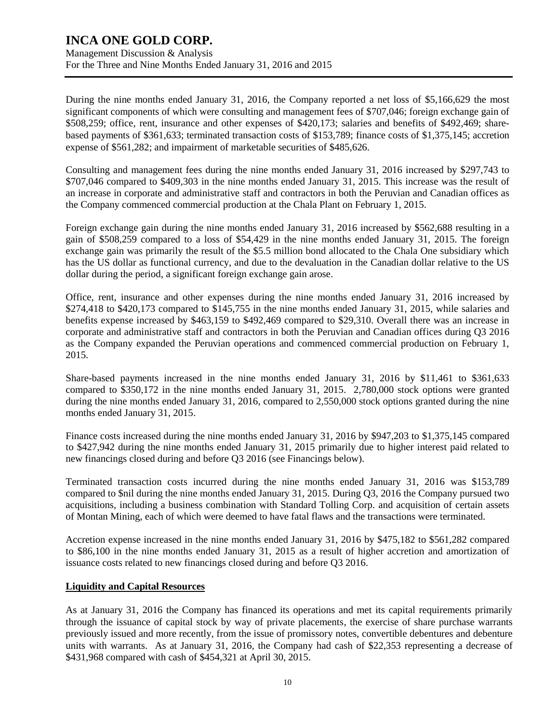During the nine months ended January 31, 2016, the Company reported a net loss of \$5,166,629 the most significant components of which were consulting and management fees of \$707,046; foreign exchange gain of \$508,259; office, rent, insurance and other expenses of \$420,173; salaries and benefits of \$492,469; sharebased payments of \$361,633; terminated transaction costs of \$153,789; finance costs of \$1,375,145; accretion expense of \$561,282; and impairment of marketable securities of \$485,626.

Consulting and management fees during the nine months ended January 31, 2016 increased by \$297,743 to \$707,046 compared to \$409,303 in the nine months ended January 31, 2015. This increase was the result of an increase in corporate and administrative staff and contractors in both the Peruvian and Canadian offices as the Company commenced commercial production at the Chala Plant on February 1, 2015.

Foreign exchange gain during the nine months ended January 31, 2016 increased by \$562,688 resulting in a gain of \$508,259 compared to a loss of \$54,429 in the nine months ended January 31, 2015. The foreign exchange gain was primarily the result of the \$5.5 million bond allocated to the Chala One subsidiary which has the US dollar as functional currency, and due to the devaluation in the Canadian dollar relative to the US dollar during the period, a significant foreign exchange gain arose.

Office, rent, insurance and other expenses during the nine months ended January 31, 2016 increased by \$274,418 to \$420,173 compared to \$145,755 in the nine months ended January 31, 2015, while salaries and benefits expense increased by \$463,159 to \$492,469 compared to \$29,310. Overall there was an increase in corporate and administrative staff and contractors in both the Peruvian and Canadian offices during Q3 2016 as the Company expanded the Peruvian operations and commenced commercial production on February 1, 2015.

Share-based payments increased in the nine months ended January 31, 2016 by \$11,461 to \$361,633 compared to \$350,172 in the nine months ended January 31, 2015. 2,780,000 stock options were granted during the nine months ended January 31, 2016, compared to 2,550,000 stock options granted during the nine months ended January 31, 2015.

Finance costs increased during the nine months ended January 31, 2016 by \$947,203 to \$1,375,145 compared to \$427,942 during the nine months ended January 31, 2015 primarily due to higher interest paid related to new financings closed during and before Q3 2016 (see Financings below).

Terminated transaction costs incurred during the nine months ended January 31, 2016 was \$153,789 compared to \$nil during the nine months ended January 31, 2015. During Q3, 2016 the Company pursued two acquisitions, including a business combination with Standard Tolling Corp. and acquisition of certain assets of Montan Mining, each of which were deemed to have fatal flaws and the transactions were terminated.

Accretion expense increased in the nine months ended January 31, 2016 by \$475,182 to \$561,282 compared to \$86,100 in the nine months ended January 31, 2015 as a result of higher accretion and amortization of issuance costs related to new financings closed during and before Q3 2016.

### **Liquidity and Capital Resources**

As at January 31, 2016 the Company has financed its operations and met its capital requirements primarily through the issuance of capital stock by way of private placements, the exercise of share purchase warrants previously issued and more recently, from the issue of promissory notes, convertible debentures and debenture units with warrants. As at January 31, 2016, the Company had cash of \$22,353 representing a decrease of \$431,968 compared with cash of \$454,321 at April 30, 2015.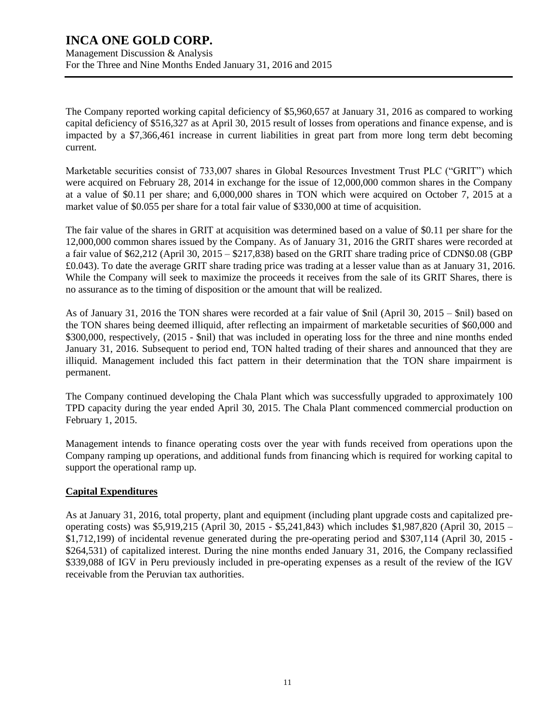The Company reported working capital deficiency of \$5,960,657 at January 31, 2016 as compared to working capital deficiency of \$516,327 as at April 30, 2015 result of losses from operations and finance expense, and is impacted by a \$7,366,461 increase in current liabilities in great part from more long term debt becoming current.

Marketable securities consist of 733,007 shares in Global Resources Investment Trust PLC ("GRIT") which were acquired on February 28, 2014 in exchange for the issue of 12,000,000 common shares in the Company at a value of \$0.11 per share; and 6,000,000 shares in TON which were acquired on October 7, 2015 at a market value of \$0.055 per share for a total fair value of \$330,000 at time of acquisition.

The fair value of the shares in GRIT at acquisition was determined based on a value of \$0.11 per share for the 12,000,000 common shares issued by the Company. As of January 31, 2016 the GRIT shares were recorded at a fair value of \$62,212 (April 30, 2015 – \$217,838) based on the GRIT share trading price of CDN\$0.08 (GBP £0.043). To date the average GRIT share trading price was trading at a lesser value than as at January 31, 2016. While the Company will seek to maximize the proceeds it receives from the sale of its GRIT Shares, there is no assurance as to the timing of disposition or the amount that will be realized.

As of January 31, 2016 the TON shares were recorded at a fair value of \$nil (April 30, 2015 – \$nil) based on the TON shares being deemed illiquid, after reflecting an impairment of marketable securities of \$60,000 and \$300,000, respectively, (2015 - \$nil) that was included in operating loss for the three and nine months ended January 31, 2016. Subsequent to period end, TON halted trading of their shares and announced that they are illiquid. Management included this fact pattern in their determination that the TON share impairment is permanent.

The Company continued developing the Chala Plant which was successfully upgraded to approximately 100 TPD capacity during the year ended April 30, 2015. The Chala Plant commenced commercial production on February 1, 2015.

Management intends to finance operating costs over the year with funds received from operations upon the Company ramping up operations, and additional funds from financing which is required for working capital to support the operational ramp up.

### **Capital Expenditures**

As at January 31, 2016, total property, plant and equipment (including plant upgrade costs and capitalized preoperating costs) was \$5,919,215 (April 30, 2015 - \$5,241,843) which includes \$1,987,820 (April 30, 2015 – \$1,712,199) of incidental revenue generated during the pre-operating period and \$307,114 (April 30, 2015 - \$264,531) of capitalized interest. During the nine months ended January 31, 2016, the Company reclassified \$339,088 of IGV in Peru previously included in pre-operating expenses as a result of the review of the IGV receivable from the Peruvian tax authorities.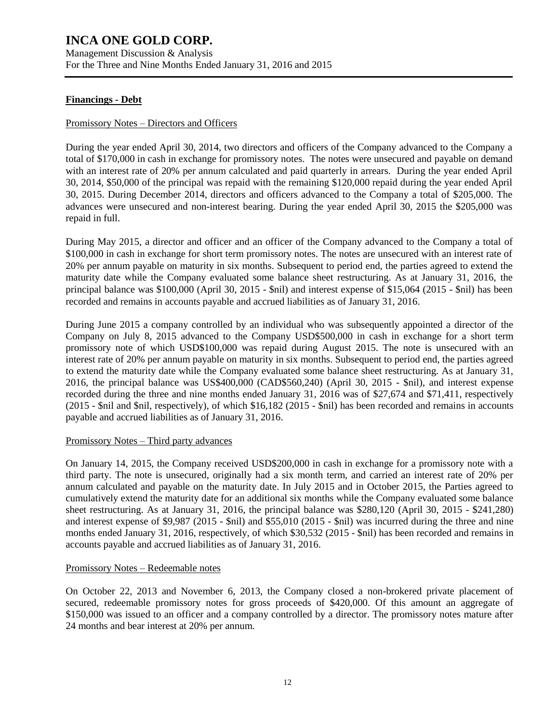Management Discussion & Analysis For the Three and Nine Months Ended January 31, 2016 and 2015

### **Financings - Debt**

#### Promissory Notes – Directors and Officers

During the year ended April 30, 2014, two directors and officers of the Company advanced to the Company a total of \$170,000 in cash in exchange for promissory notes. The notes were unsecured and payable on demand with an interest rate of 20% per annum calculated and paid quarterly in arrears. During the year ended April 30, 2014, \$50,000 of the principal was repaid with the remaining \$120,000 repaid during the year ended April 30, 2015. During December 2014, directors and officers advanced to the Company a total of \$205,000. The advances were unsecured and non-interest bearing. During the year ended April 30, 2015 the \$205,000 was repaid in full.

During May 2015, a director and officer and an officer of the Company advanced to the Company a total of \$100,000 in cash in exchange for short term promissory notes. The notes are unsecured with an interest rate of 20% per annum payable on maturity in six months. Subsequent to period end, the parties agreed to extend the maturity date while the Company evaluated some balance sheet restructuring. As at January 31, 2016, the principal balance was \$100,000 (April 30, 2015 - \$nil) and interest expense of \$15,064 (2015 - \$nil) has been recorded and remains in accounts payable and accrued liabilities as of January 31, 2016.

During June 2015 a company controlled by an individual who was subsequently appointed a director of the Company on July 8, 2015 advanced to the Company USD\$500,000 in cash in exchange for a short term promissory note of which USD\$100,000 was repaid during August 2015. The note is unsecured with an interest rate of 20% per annum payable on maturity in six months. Subsequent to period end, the parties agreed to extend the maturity date while the Company evaluated some balance sheet restructuring. As at January 31, 2016, the principal balance was US\$400,000 (CAD\$560,240) (April 30, 2015 - \$nil), and interest expense recorded during the three and nine months ended January 31, 2016 was of \$27,674 and \$71,411, respectively (2015 - \$nil and \$nil, respectively), of which \$16,182 (2015 - \$nil) has been recorded and remains in accounts payable and accrued liabilities as of January 31, 2016.

#### Promissory Notes – Third party advances

On January 14, 2015, the Company received USD\$200,000 in cash in exchange for a promissory note with a third party. The note is unsecured, originally had a six month term, and carried an interest rate of 20% per annum calculated and payable on the maturity date. In July 2015 and in October 2015, the Parties agreed to cumulatively extend the maturity date for an additional six months while the Company evaluated some balance sheet restructuring. As at January 31, 2016, the principal balance was \$280,120 (April 30, 2015 - \$241,280) and interest expense of \$9,987 (2015 - \$nil) and \$55,010 (2015 - \$nil) was incurred during the three and nine months ended January 31, 2016, respectively, of which \$30,532 (2015 - \$nil) has been recorded and remains in accounts payable and accrued liabilities as of January 31, 2016.

#### Promissory Notes – Redeemable notes

On October 22, 2013 and November 6, 2013, the Company closed a non-brokered private placement of secured, redeemable promissory notes for gross proceeds of \$420,000. Of this amount an aggregate of \$150,000 was issued to an officer and a company controlled by a director. The promissory notes mature after 24 months and bear interest at 20% per annum.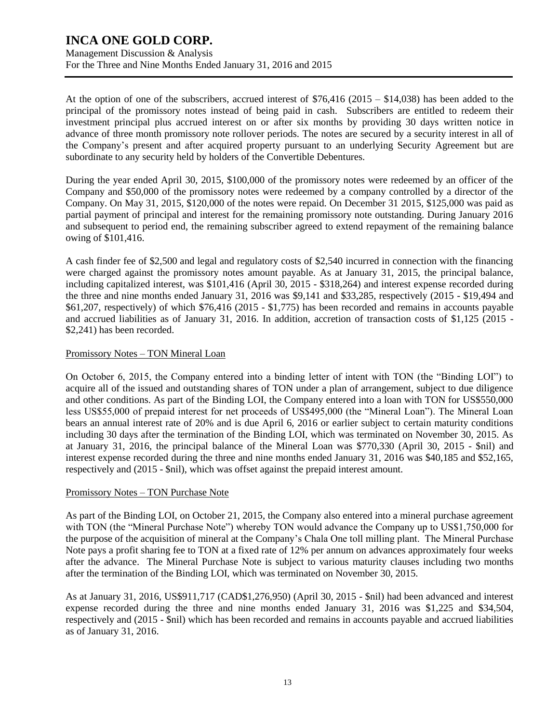At the option of one of the subscribers, accrued interest of \$76,416 (2015 – \$14,038) has been added to the principal of the promissory notes instead of being paid in cash. Subscribers are entitled to redeem their investment principal plus accrued interest on or after six months by providing 30 days written notice in advance of three month promissory note rollover periods. The notes are secured by a security interest in all of the Company's present and after acquired property pursuant to an underlying Security Agreement but are subordinate to any security held by holders of the Convertible Debentures.

During the year ended April 30, 2015, \$100,000 of the promissory notes were redeemed by an officer of the Company and \$50,000 of the promissory notes were redeemed by a company controlled by a director of the Company. On May 31, 2015, \$120,000 of the notes were repaid. On December 31 2015, \$125,000 was paid as partial payment of principal and interest for the remaining promissory note outstanding. During January 2016 and subsequent to period end, the remaining subscriber agreed to extend repayment of the remaining balance owing of \$101,416.

A cash finder fee of \$2,500 and legal and regulatory costs of \$2,540 incurred in connection with the financing were charged against the promissory notes amount payable. As at January 31, 2015, the principal balance, including capitalized interest, was \$101,416 (April 30, 2015 - \$318,264) and interest expense recorded during the three and nine months ended January 31, 2016 was \$9,141 and \$33,285, respectively (2015 - \$19,494 and \$61,207, respectively) of which \$76,416 (2015 - \$1,775) has been recorded and remains in accounts payable and accrued liabilities as of January 31, 2016. In addition, accretion of transaction costs of \$1,125 (2015 - \$2,241) has been recorded.

### Promissory Notes – TON Mineral Loan

On October 6, 2015, the Company entered into a binding letter of intent with TON (the "Binding LOI") to acquire all of the issued and outstanding shares of TON under a plan of arrangement, subject to due diligence and other conditions. As part of the Binding LOI, the Company entered into a loan with TON for US\$550,000 less US\$55,000 of prepaid interest for net proceeds of US\$495,000 (the "Mineral Loan"). The Mineral Loan bears an annual interest rate of 20% and is due April 6, 2016 or earlier subject to certain maturity conditions including 30 days after the termination of the Binding LOI, which was terminated on November 30, 2015. As at January 31, 2016, the principal balance of the Mineral Loan was \$770,330 (April 30, 2015 - \$nil) and interest expense recorded during the three and nine months ended January 31, 2016 was \$40,185 and \$52,165, respectively and (2015 - \$nil), which was offset against the prepaid interest amount.

### Promissory Notes – TON Purchase Note

As part of the Binding LOI, on October 21, 2015, the Company also entered into a mineral purchase agreement with TON (the "Mineral Purchase Note") whereby TON would advance the Company up to US\$1,750,000 for the purpose of the acquisition of mineral at the Company's Chala One toll milling plant. The Mineral Purchase Note pays a profit sharing fee to TON at a fixed rate of 12% per annum on advances approximately four weeks after the advance. The Mineral Purchase Note is subject to various maturity clauses including two months after the termination of the Binding LOI, which was terminated on November 30, 2015.

As at January 31, 2016, US\$911,717 (CAD\$1,276,950) (April 30, 2015 - \$nil) had been advanced and interest expense recorded during the three and nine months ended January 31, 2016 was \$1,225 and \$34,504, respectively and (2015 - \$nil) which has been recorded and remains in accounts payable and accrued liabilities as of January 31, 2016.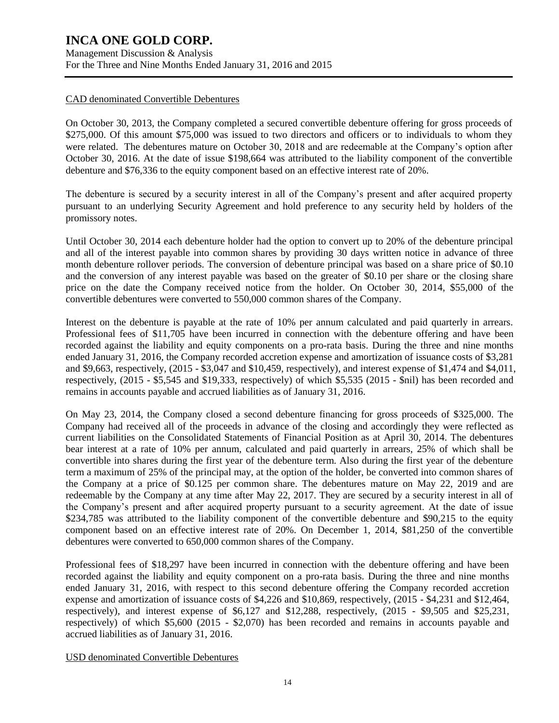#### CAD denominated Convertible Debentures

On October 30, 2013, the Company completed a secured convertible debenture offering for gross proceeds of \$275,000. Of this amount \$75,000 was issued to two directors and officers or to individuals to whom they were related. The debentures mature on October 30, 2018 and are redeemable at the Company's option after October 30, 2016. At the date of issue \$198,664 was attributed to the liability component of the convertible debenture and \$76,336 to the equity component based on an effective interest rate of 20%.

The debenture is secured by a security interest in all of the Company's present and after acquired property pursuant to an underlying Security Agreement and hold preference to any security held by holders of the promissory notes.

Until October 30, 2014 each debenture holder had the option to convert up to 20% of the debenture principal and all of the interest payable into common shares by providing 30 days written notice in advance of three month debenture rollover periods. The conversion of debenture principal was based on a share price of \$0.10 and the conversion of any interest payable was based on the greater of \$0.10 per share or the closing share price on the date the Company received notice from the holder. On October 30, 2014, \$55,000 of the convertible debentures were converted to 550,000 common shares of the Company.

Interest on the debenture is payable at the rate of 10% per annum calculated and paid quarterly in arrears. Professional fees of \$11,705 have been incurred in connection with the debenture offering and have been recorded against the liability and equity components on a pro-rata basis. During the three and nine months ended January 31, 2016, the Company recorded accretion expense and amortization of issuance costs of \$3,281 and \$9,663, respectively, (2015 - \$3,047 and \$10,459, respectively), and interest expense of \$1,474 and \$4,011, respectively, (2015 - \$5,545 and \$19,333, respectively) of which \$5,535 (2015 - \$nil) has been recorded and remains in accounts payable and accrued liabilities as of January 31, 2016.

On May 23, 2014, the Company closed a second debenture financing for gross proceeds of \$325,000. The Company had received all of the proceeds in advance of the closing and accordingly they were reflected as current liabilities on the Consolidated Statements of Financial Position as at April 30, 2014. The debentures bear interest at a rate of 10% per annum, calculated and paid quarterly in arrears, 25% of which shall be convertible into shares during the first year of the debenture term. Also during the first year of the debenture term a maximum of 25% of the principal may, at the option of the holder, be converted into common shares of the Company at a price of \$0.125 per common share. The debentures mature on May 22, 2019 and are redeemable by the Company at any time after May 22, 2017. They are secured by a security interest in all of the Company's present and after acquired property pursuant to a security agreement. At the date of issue \$234,785 was attributed to the liability component of the convertible debenture and \$90,215 to the equity component based on an effective interest rate of 20%. On December 1, 2014, \$81,250 of the convertible debentures were converted to 650,000 common shares of the Company.

Professional fees of \$18,297 have been incurred in connection with the debenture offering and have been recorded against the liability and equity component on a pro-rata basis. During the three and nine months ended January 31, 2016, with respect to this second debenture offering the Company recorded accretion expense and amortization of issuance costs of \$4,226 and \$10,869, respectively, (2015 - \$4,231 and \$12,464, respectively), and interest expense of \$6,127 and \$12,288, respectively, (2015 - \$9,505 and \$25,231, respectively) of which \$5,600 (2015 - \$2,070) has been recorded and remains in accounts payable and accrued liabilities as of January 31, 2016.

USD denominated Convertible Debentures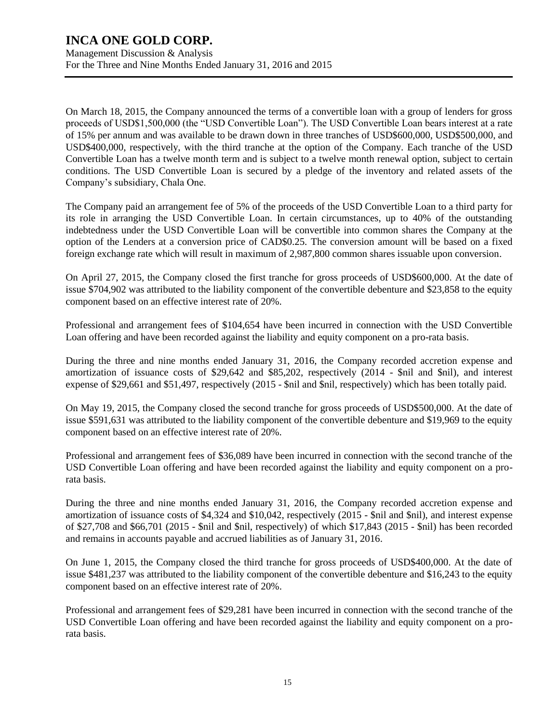On March 18, 2015, the Company announced the terms of a convertible loan with a group of lenders for gross proceeds of USD\$1,500,000 (the "USD Convertible Loan"). The USD Convertible Loan bears interest at a rate of 15% per annum and was available to be drawn down in three tranches of USD\$600,000, USD\$500,000, and USD\$400,000, respectively, with the third tranche at the option of the Company. Each tranche of the USD Convertible Loan has a twelve month term and is subject to a twelve month renewal option, subject to certain conditions. The USD Convertible Loan is secured by a pledge of the inventory and related assets of the Company's subsidiary, Chala One.

The Company paid an arrangement fee of 5% of the proceeds of the USD Convertible Loan to a third party for its role in arranging the USD Convertible Loan. In certain circumstances, up to 40% of the outstanding indebtedness under the USD Convertible Loan will be convertible into common shares the Company at the option of the Lenders at a conversion price of CAD\$0.25. The conversion amount will be based on a fixed foreign exchange rate which will result in maximum of 2,987,800 common shares issuable upon conversion.

On April 27, 2015, the Company closed the first tranche for gross proceeds of USD\$600,000. At the date of issue \$704,902 was attributed to the liability component of the convertible debenture and \$23,858 to the equity component based on an effective interest rate of 20%.

Professional and arrangement fees of \$104,654 have been incurred in connection with the USD Convertible Loan offering and have been recorded against the liability and equity component on a pro-rata basis.

During the three and nine months ended January 31, 2016, the Company recorded accretion expense and amortization of issuance costs of \$29,642 and \$85,202, respectively (2014 - \$nil and \$nil), and interest expense of \$29,661 and \$51,497, respectively (2015 - \$nil and \$nil, respectively) which has been totally paid.

On May 19, 2015, the Company closed the second tranche for gross proceeds of USD\$500,000. At the date of issue \$591,631 was attributed to the liability component of the convertible debenture and \$19,969 to the equity component based on an effective interest rate of 20%.

Professional and arrangement fees of \$36,089 have been incurred in connection with the second tranche of the USD Convertible Loan offering and have been recorded against the liability and equity component on a prorata basis.

During the three and nine months ended January 31, 2016, the Company recorded accretion expense and amortization of issuance costs of \$4,324 and \$10,042, respectively (2015 - \$nil and \$nil), and interest expense of \$27,708 and \$66,701 (2015 - \$nil and \$nil, respectively) of which \$17,843 (2015 - \$nil) has been recorded and remains in accounts payable and accrued liabilities as of January 31, 2016.

On June 1, 2015, the Company closed the third tranche for gross proceeds of USD\$400,000. At the date of issue \$481,237 was attributed to the liability component of the convertible debenture and \$16,243 to the equity component based on an effective interest rate of 20%.

Professional and arrangement fees of \$29,281 have been incurred in connection with the second tranche of the USD Convertible Loan offering and have been recorded against the liability and equity component on a prorata basis.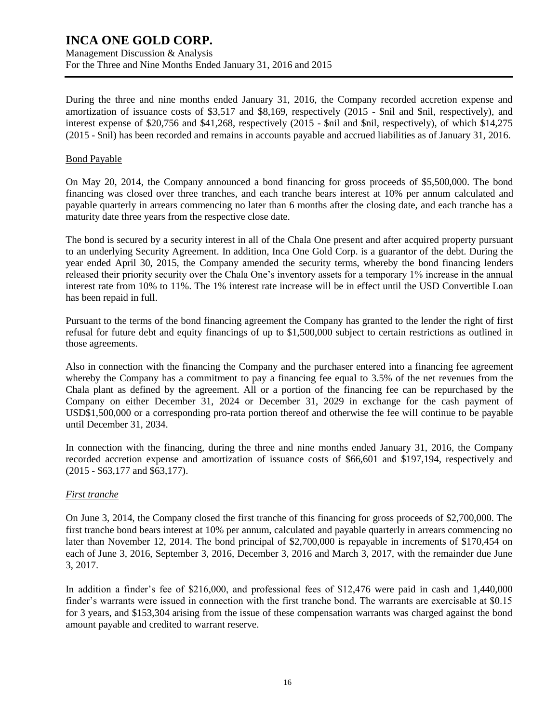During the three and nine months ended January 31, 2016, the Company recorded accretion expense and amortization of issuance costs of \$3,517 and \$8,169, respectively (2015 - \$nil and \$nil, respectively), and interest expense of \$20,756 and \$41,268, respectively (2015 - \$nil and \$nil, respectively), of which \$14,275 (2015 - \$nil) has been recorded and remains in accounts payable and accrued liabilities as of January 31, 2016.

#### Bond Payable

On May 20, 2014, the Company announced a bond financing for gross proceeds of \$5,500,000. The bond financing was closed over three tranches, and each tranche bears interest at 10% per annum calculated and payable quarterly in arrears commencing no later than 6 months after the closing date, and each tranche has a maturity date three years from the respective close date.

The bond is secured by a security interest in all of the Chala One present and after acquired property pursuant to an underlying Security Agreement. In addition, Inca One Gold Corp. is a guarantor of the debt. During the year ended April 30, 2015, the Company amended the security terms, whereby the bond financing lenders released their priority security over the Chala One's inventory assets for a temporary 1% increase in the annual interest rate from 10% to 11%. The 1% interest rate increase will be in effect until the USD Convertible Loan has been repaid in full.

Pursuant to the terms of the bond financing agreement the Company has granted to the lender the right of first refusal for future debt and equity financings of up to \$1,500,000 subject to certain restrictions as outlined in those agreements.

Also in connection with the financing the Company and the purchaser entered into a financing fee agreement whereby the Company has a commitment to pay a financing fee equal to 3.5% of the net revenues from the Chala plant as defined by the agreement. All or a portion of the financing fee can be repurchased by the Company on either December 31, 2024 or December 31, 2029 in exchange for the cash payment of USD\$1,500,000 or a corresponding pro-rata portion thereof and otherwise the fee will continue to be payable until December 31, 2034.

In connection with the financing, during the three and nine months ended January 31, 2016, the Company recorded accretion expense and amortization of issuance costs of \$66,601 and \$197,194, respectively and (2015 - \$63,177 and \$63,177).

### *First tranche*

On June 3, 2014, the Company closed the first tranche of this financing for gross proceeds of \$2,700,000. The first tranche bond bears interest at 10% per annum, calculated and payable quarterly in arrears commencing no later than November 12, 2014. The bond principal of \$2,700,000 is repayable in increments of \$170,454 on each of June 3, 2016, September 3, 2016, December 3, 2016 and March 3, 2017, with the remainder due June 3, 2017.

In addition a finder's fee of \$216,000, and professional fees of \$12,476 were paid in cash and 1,440,000 finder's warrants were issued in connection with the first tranche bond. The warrants are exercisable at \$0.15 for 3 years, and \$153,304 arising from the issue of these compensation warrants was charged against the bond amount payable and credited to warrant reserve.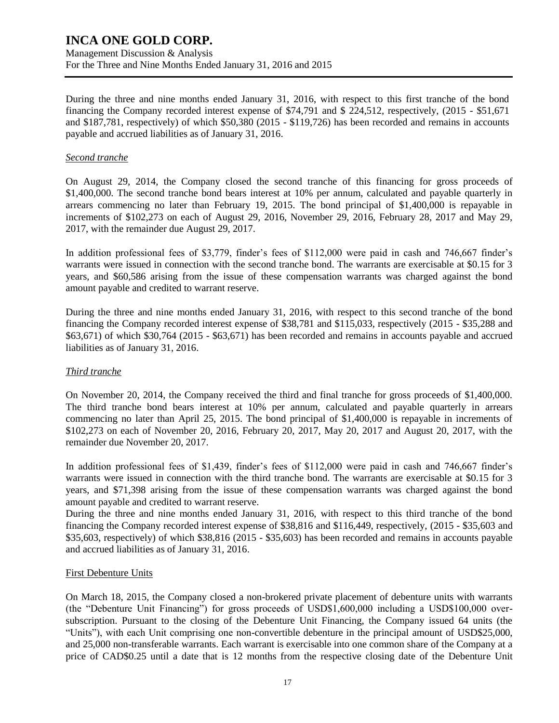During the three and nine months ended January 31, 2016, with respect to this first tranche of the bond financing the Company recorded interest expense of \$74,791 and \$ 224,512, respectively, (2015 - \$51,671 and \$187,781, respectively) of which \$50,380 (2015 - \$119,726) has been recorded and remains in accounts payable and accrued liabilities as of January 31, 2016.

### *Second tranche*

On August 29, 2014, the Company closed the second tranche of this financing for gross proceeds of \$1,400,000. The second tranche bond bears interest at 10% per annum, calculated and payable quarterly in arrears commencing no later than February 19, 2015. The bond principal of \$1,400,000 is repayable in increments of \$102,273 on each of August 29, 2016, November 29, 2016, February 28, 2017 and May 29, 2017, with the remainder due August 29, 2017.

In addition professional fees of \$3,779, finder's fees of \$112,000 were paid in cash and 746,667 finder's warrants were issued in connection with the second tranche bond. The warrants are exercisable at \$0.15 for 3 years, and \$60,586 arising from the issue of these compensation warrants was charged against the bond amount payable and credited to warrant reserve.

During the three and nine months ended January 31, 2016, with respect to this second tranche of the bond financing the Company recorded interest expense of \$38,781 and \$115,033, respectively (2015 - \$35,288 and \$63,671) of which \$30,764 (2015 - \$63,671) has been recorded and remains in accounts payable and accrued liabilities as of January 31, 2016.

### *Third tranche*

On November 20, 2014, the Company received the third and final tranche for gross proceeds of \$1,400,000. The third tranche bond bears interest at 10% per annum, calculated and payable quarterly in arrears commencing no later than April 25, 2015. The bond principal of \$1,400,000 is repayable in increments of \$102,273 on each of November 20, 2016, February 20, 2017, May 20, 2017 and August 20, 2017, with the remainder due November 20, 2017.

In addition professional fees of \$1,439, finder's fees of \$112,000 were paid in cash and 746,667 finder's warrants were issued in connection with the third tranche bond. The warrants are exercisable at \$0.15 for 3 years, and \$71,398 arising from the issue of these compensation warrants was charged against the bond amount payable and credited to warrant reserve.

During the three and nine months ended January 31, 2016, with respect to this third tranche of the bond financing the Company recorded interest expense of \$38,816 and \$116,449, respectively, (2015 - \$35,603 and \$35,603, respectively) of which \$38,816 (2015 - \$35,603) has been recorded and remains in accounts payable and accrued liabilities as of January 31, 2016.

### First Debenture Units

On March 18, 2015, the Company closed a non-brokered private placement of debenture units with warrants (the "Debenture Unit Financing") for gross proceeds of USD\$1,600,000 including a USD\$100,000 oversubscription. Pursuant to the closing of the Debenture Unit Financing, the Company issued 64 units (the "Units"), with each Unit comprising one non-convertible debenture in the principal amount of USD\$25,000, and 25,000 non-transferable warrants. Each warrant is exercisable into one common share of the Company at a price of CAD\$0.25 until a date that is 12 months from the respective closing date of the Debenture Unit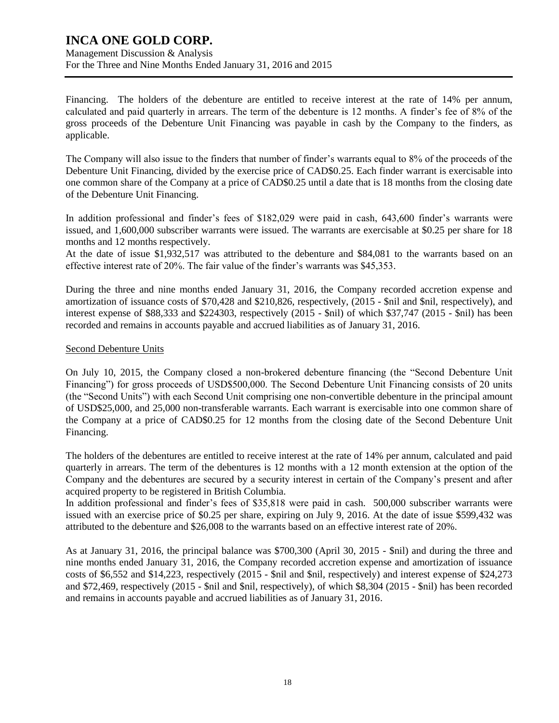Financing. The holders of the debenture are entitled to receive interest at the rate of 14% per annum, calculated and paid quarterly in arrears. The term of the debenture is 12 months. A finder's fee of 8% of the gross proceeds of the Debenture Unit Financing was payable in cash by the Company to the finders, as applicable.

The Company will also issue to the finders that number of finder's warrants equal to 8% of the proceeds of the Debenture Unit Financing, divided by the exercise price of CAD\$0.25. Each finder warrant is exercisable into one common share of the Company at a price of CAD\$0.25 until a date that is 18 months from the closing date of the Debenture Unit Financing.

In addition professional and finder's fees of \$182,029 were paid in cash, 643,600 finder's warrants were issued, and 1,600,000 subscriber warrants were issued. The warrants are exercisable at \$0.25 per share for 18 months and 12 months respectively.

At the date of issue \$1,932,517 was attributed to the debenture and \$84,081 to the warrants based on an effective interest rate of 20%. The fair value of the finder's warrants was \$45,353.

During the three and nine months ended January 31, 2016, the Company recorded accretion expense and amortization of issuance costs of \$70,428 and \$210,826, respectively, (2015 - \$nil and \$nil, respectively), and interest expense of \$88,333 and \$224303, respectively (2015 - \$nil) of which \$37,747 (2015 - \$nil) has been recorded and remains in accounts payable and accrued liabilities as of January 31, 2016.

### Second Debenture Units

On July 10, 2015, the Company closed a non-brokered debenture financing (the "Second Debenture Unit Financing") for gross proceeds of USD\$500,000. The Second Debenture Unit Financing consists of 20 units (the "Second Units") with each Second Unit comprising one non-convertible debenture in the principal amount of USD\$25,000, and 25,000 non-transferable warrants. Each warrant is exercisable into one common share of the Company at a price of CAD\$0.25 for 12 months from the closing date of the Second Debenture Unit Financing.

The holders of the debentures are entitled to receive interest at the rate of 14% per annum, calculated and paid quarterly in arrears. The term of the debentures is 12 months with a 12 month extension at the option of the Company and the debentures are secured by a security interest in certain of the Company's present and after acquired property to be registered in British Columbia.

In addition professional and finder's fees of \$35,818 were paid in cash. 500,000 subscriber warrants were issued with an exercise price of \$0.25 per share, expiring on July 9, 2016. At the date of issue \$599,432 was attributed to the debenture and \$26,008 to the warrants based on an effective interest rate of 20%.

As at January 31, 2016, the principal balance was \$700,300 (April 30, 2015 - \$nil) and during the three and nine months ended January 31, 2016, the Company recorded accretion expense and amortization of issuance costs of \$6,552 and \$14,223, respectively (2015 - \$nil and \$nil, respectively) and interest expense of \$24,273 and \$72,469, respectively (2015 - \$nil and \$nil, respectively), of which \$8,304 (2015 - \$nil) has been recorded and remains in accounts payable and accrued liabilities as of January 31, 2016.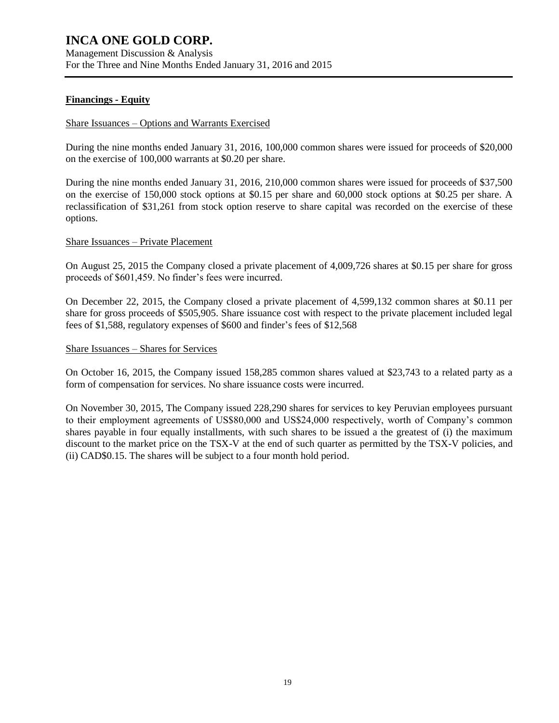### **Financings - Equity**

#### Share Issuances – Options and Warrants Exercised

During the nine months ended January 31, 2016, 100,000 common shares were issued for proceeds of \$20,000 on the exercise of 100,000 warrants at \$0.20 per share.

During the nine months ended January 31, 2016, 210,000 common shares were issued for proceeds of \$37,500 on the exercise of 150,000 stock options at \$0.15 per share and 60,000 stock options at \$0.25 per share. A reclassification of \$31,261 from stock option reserve to share capital was recorded on the exercise of these options.

#### Share Issuances – Private Placement

On August 25, 2015 the Company closed a private placement of 4,009,726 shares at \$0.15 per share for gross proceeds of \$601,459. No finder's fees were incurred.

On December 22, 2015, the Company closed a private placement of 4,599,132 common shares at \$0.11 per share for gross proceeds of \$505,905. Share issuance cost with respect to the private placement included legal fees of \$1,588, regulatory expenses of \$600 and finder's fees of \$12,568

#### Share Issuances – Shares for Services

On October 16, 2015, the Company issued 158,285 common shares valued at \$23,743 to a related party as a form of compensation for services. No share issuance costs were incurred.

On November 30, 2015, The Company issued 228,290 shares for services to key Peruvian employees pursuant to their employment agreements of US\$80,000 and US\$24,000 respectively, worth of Company's common shares payable in four equally installments, with such shares to be issued a the greatest of (i) the maximum discount to the market price on the TSX-V at the end of such quarter as permitted by the TSX-V policies, and (ii) CAD\$0.15. The shares will be subject to a four month hold period.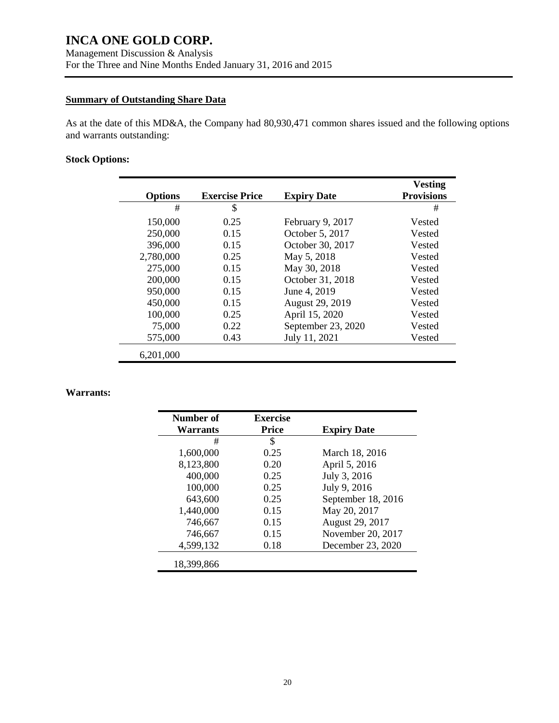### **Summary of Outstanding Share Data**

As at the date of this MD&A, the Company had 80,930,471 common shares issued and the following options and warrants outstanding:

### **Stock Options:**

| <b>Options</b> | <b>Exercise Price</b> | <b>Expiry Date</b> | <b>Vesting</b><br><b>Provisions</b> |
|----------------|-----------------------|--------------------|-------------------------------------|
| #              | \$                    |                    | #                                   |
| 150,000        | 0.25                  | February 9, 2017   | Vested                              |
| 250,000        | 0.15                  | October 5, 2017    | Vested                              |
| 396,000        | 0.15                  | October 30, 2017   | Vested                              |
| 2,780,000      | 0.25                  | May 5, 2018        | Vested                              |
| 275,000        | 0.15                  | May 30, 2018       | Vested                              |
| 200,000        | 0.15                  | October 31, 2018   | Vested                              |
| 950,000        | 0.15                  | June 4, 2019       | Vested                              |
| 450,000        | 0.15                  | August 29, 2019    | Vested                              |
| 100,000        | 0.25                  | April 15, 2020     | Vested                              |
| 75,000         | 0.22                  | September 23, 2020 | Vested                              |
| 575,000        | 0.43                  | July 11, 2021      | Vested                              |
| 6,201,000      |                       |                    |                                     |

### **Warrants:**

| Number of  | <b>Exercise</b> |                    |
|------------|-----------------|--------------------|
| Warrants   | <b>Price</b>    | <b>Expiry Date</b> |
| #          | \$              |                    |
| 1,600,000  | 0.25            | March 18, 2016     |
| 8,123,800  | 0.20            | April 5, 2016      |
| 400,000    | 0.25            | July 3, 2016       |
| 100,000    | 0.25            | July 9, 2016       |
| 643,600    | 0.25            | September 18, 2016 |
| 1,440,000  | 0.15            | May 20, 2017       |
| 746,667    | 0.15            | August 29, 2017    |
| 746,667    | 0.15            | November 20, 2017  |
| 4,599,132  | 0.18            | December 23, 2020  |
| 18.399.866 |                 |                    |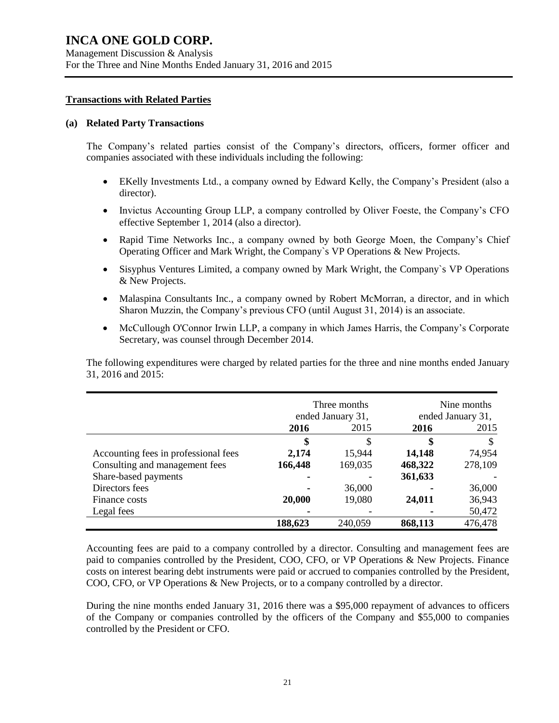#### **Transactions with Related Parties**

#### **(a) Related Party Transactions**

The Company's related parties consist of the Company's directors, officers, former officer and companies associated with these individuals including the following:

- EKelly Investments Ltd., a company owned by Edward Kelly, the Company's President (also a director).
- Invictus Accounting Group LLP, a company controlled by Oliver Foeste, the Company's CFO effective September 1, 2014 (also a director).
- Rapid Time Networks Inc., a company owned by both George Moen, the Company's Chief Operating Officer and Mark Wright, the Company`s VP Operations & New Projects.
- Sisyphus Ventures Limited, a company owned by Mark Wright, the Company's VP Operations & New Projects.
- Malaspina Consultants Inc., a company owned by Robert McMorran, a director, and in which Sharon Muzzin, the Company's previous CFO (until August 31, 2014) is an associate.
- McCullough O'Connor Irwin LLP, a company in which James Harris, the Company's Corporate Secretary, was counsel through December 2014.

The following expenditures were charged by related parties for the three and nine months ended January 31, 2016 and 2015:

|                                      | Three months<br>ended January 31, |         | Nine months<br>ended January 31, |         |
|--------------------------------------|-----------------------------------|---------|----------------------------------|---------|
|                                      | 2016<br>2015                      |         | 2016                             | 2015    |
|                                      |                                   | S       | \$                               | \$      |
| Accounting fees in professional fees | 2,174                             | 15,944  | 14,148                           | 74,954  |
| Consulting and management fees       | 166,448                           | 169,035 | 468,322                          | 278,109 |
| Share-based payments                 |                                   |         | 361,633                          |         |
| Directors fees                       |                                   | 36,000  |                                  | 36,000  |
| Finance costs                        | 20,000                            | 19,080  | 24,011                           | 36,943  |
| Legal fees                           |                                   |         |                                  | 50,472  |
|                                      | 188,623                           | 240,059 | 868,113                          | 476,478 |

Accounting fees are paid to a company controlled by a director. Consulting and management fees are paid to companies controlled by the President, COO, CFO, or VP Operations & New Projects. Finance costs on interest bearing debt instruments were paid or accrued to companies controlled by the President, COO, CFO, or VP Operations & New Projects, or to a company controlled by a director.

During the nine months ended January 31, 2016 there was a \$95,000 repayment of advances to officers of the Company or companies controlled by the officers of the Company and \$55,000 to companies controlled by the President or CFO.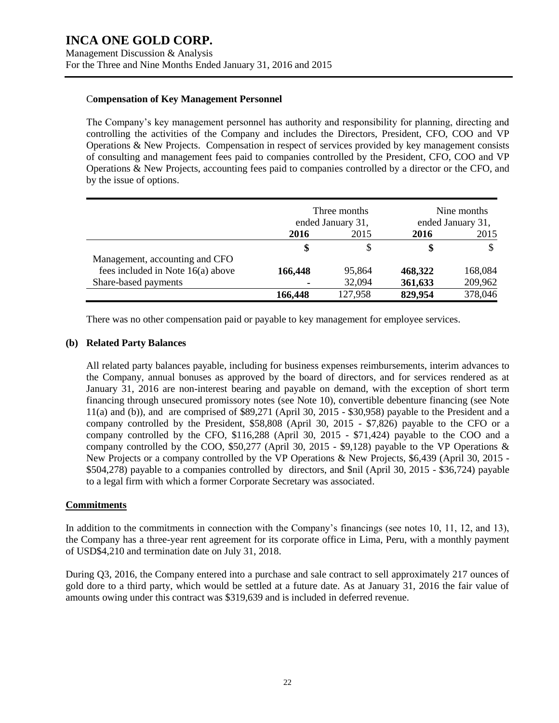#### C**ompensation of Key Management Personnel**

The Company's key management personnel has authority and responsibility for planning, directing and controlling the activities of the Company and includes the Directors, President, CFO, COO and VP Operations & New Projects. Compensation in respect of services provided by key management consists of consulting and management fees paid to companies controlled by the President, CFO, COO and VP Operations & New Projects, accounting fees paid to companies controlled by a director or the CFO, and by the issue of options.

|                                   | Three months<br>ended January 31, |         | Nine months<br>ended January 31, |         |
|-----------------------------------|-----------------------------------|---------|----------------------------------|---------|
|                                   | 2015<br>2016                      |         | 2016                             | 2015    |
|                                   | \$                                |         | \$                               |         |
| Management, accounting and CFO    |                                   |         |                                  |         |
| fees included in Note 16(a) above | 166,448                           | 95,864  | 468,322                          | 168,084 |
| Share-based payments              |                                   | 32,094  | 361,633                          | 209,962 |
|                                   | 166,448                           | 127,958 | 829,954                          | 378,046 |

There was no other compensation paid or payable to key management for employee services.

#### **(b) Related Party Balances**

All related party balances payable, including for business expenses reimbursements, interim advances to the Company, annual bonuses as approved by the board of directors, and for services rendered as at January 31, 2016 are non-interest bearing and payable on demand, with the exception of short term financing through unsecured promissory notes (see Note 10), convertible debenture financing (see Note 11(a) and (b)), and are comprised of \$89,271 (April 30, 2015 - \$30,958) payable to the President and a company controlled by the President, \$58,808 (April 30, 2015 - \$7,826) payable to the CFO or a company controlled by the CFO, \$116,288 (April 30, 2015 - \$71,424) payable to the COO and a company controlled by the COO, \$50,277 (April 30, 2015 - \$9,128) payable to the VP Operations & New Projects or a company controlled by the VP Operations & New Projects, \$6,439 (April 30, 2015 - \$504,278) payable to a companies controlled by directors, and \$nil (April 30, 2015 - \$36,724) payable to a legal firm with which a former Corporate Secretary was associated.

### **Commitments**

In addition to the commitments in connection with the Company's financings (see notes 10, 11, 12, and 13), the Company has a three-year rent agreement for its corporate office in Lima, Peru, with a monthly payment of USD\$4,210 and termination date on July 31, 2018.

During Q3, 2016, the Company entered into a purchase and sale contract to sell approximately 217 ounces of gold dore to a third party, which would be settled at a future date. As at January 31, 2016 the fair value of amounts owing under this contract was \$319,639 and is included in deferred revenue.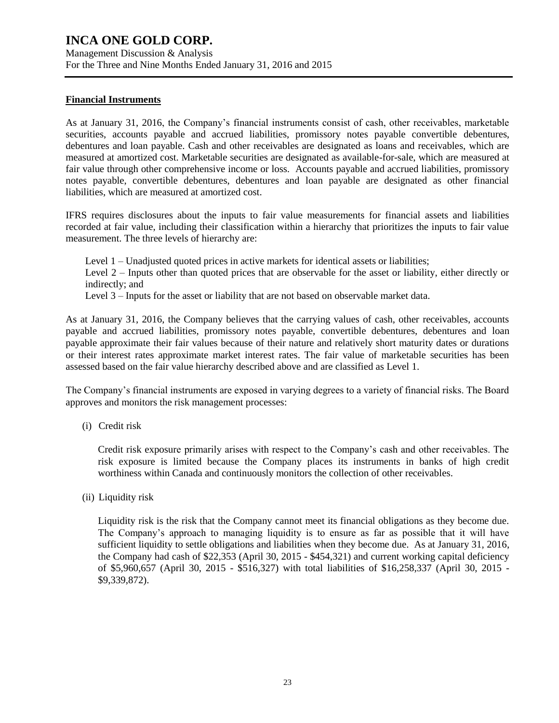Management Discussion & Analysis For the Three and Nine Months Ended January 31, 2016 and 2015

### **Financial Instruments**

As at January 31, 2016, the Company's financial instruments consist of cash, other receivables, marketable securities, accounts payable and accrued liabilities, promissory notes payable convertible debentures, debentures and loan payable. Cash and other receivables are designated as loans and receivables, which are measured at amortized cost. Marketable securities are designated as available-for-sale, which are measured at fair value through other comprehensive income or loss. Accounts payable and accrued liabilities, promissory notes payable, convertible debentures, debentures and loan payable are designated as other financial liabilities, which are measured at amortized cost.

IFRS requires disclosures about the inputs to fair value measurements for financial assets and liabilities recorded at fair value, including their classification within a hierarchy that prioritizes the inputs to fair value measurement. The three levels of hierarchy are:

Level 1 – Unadjusted quoted prices in active markets for identical assets or liabilities; Level 2 – Inputs other than quoted prices that are observable for the asset or liability, either directly or indirectly; and Level 3 – Inputs for the asset or liability that are not based on observable market data.

As at January 31, 2016, the Company believes that the carrying values of cash, other receivables, accounts payable and accrued liabilities, promissory notes payable, convertible debentures, debentures and loan payable approximate their fair values because of their nature and relatively short maturity dates or durations or their interest rates approximate market interest rates. The fair value of marketable securities has been assessed based on the fair value hierarchy described above and are classified as Level 1.

The Company's financial instruments are exposed in varying degrees to a variety of financial risks. The Board approves and monitors the risk management processes:

(i) Credit risk

Credit risk exposure primarily arises with respect to the Company's cash and other receivables. The risk exposure is limited because the Company places its instruments in banks of high credit worthiness within Canada and continuously monitors the collection of other receivables.

(ii) Liquidity risk

Liquidity risk is the risk that the Company cannot meet its financial obligations as they become due. The Company's approach to managing liquidity is to ensure as far as possible that it will have sufficient liquidity to settle obligations and liabilities when they become due. As at January 31, 2016, the Company had cash of \$22,353 (April 30, 2015 - \$454,321) and current working capital deficiency of \$5,960,657 (April 30, 2015 - \$516,327) with total liabilities of \$16,258,337 (April 30, 2015 - \$9,339,872).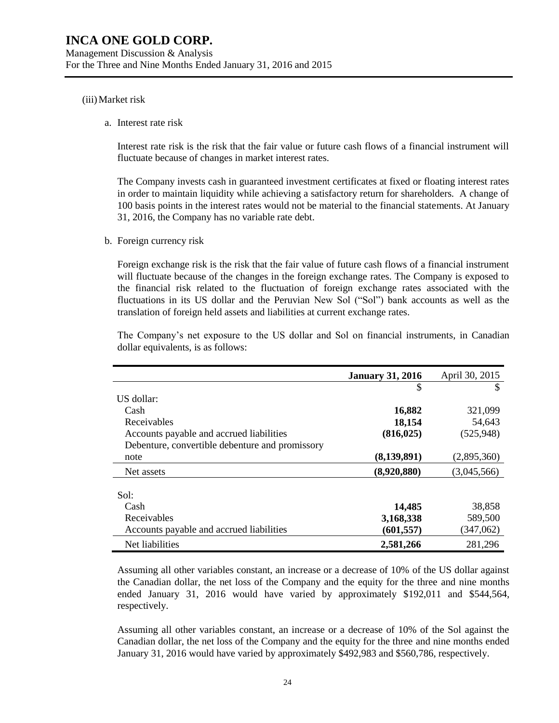#### (iii)Market risk

a. Interest rate risk

Interest rate risk is the risk that the fair value or future cash flows of a financial instrument will fluctuate because of changes in market interest rates.

The Company invests cash in guaranteed investment certificates at fixed or floating interest rates in order to maintain liquidity while achieving a satisfactory return for shareholders. A change of 100 basis points in the interest rates would not be material to the financial statements. At January 31, 2016, the Company has no variable rate debt.

b. Foreign currency risk

Foreign exchange risk is the risk that the fair value of future cash flows of a financial instrument will fluctuate because of the changes in the foreign exchange rates. The Company is exposed to the financial risk related to the fluctuation of foreign exchange rates associated with the fluctuations in its US dollar and the Peruvian New Sol ("Sol") bank accounts as well as the translation of foreign held assets and liabilities at current exchange rates.

The Company's net exposure to the US dollar and Sol on financial instruments, in Canadian dollar equivalents, is as follows:

|                                                 | <b>January 31, 2016</b> | April 30, 2015 |
|-------------------------------------------------|-------------------------|----------------|
|                                                 | \$                      | S              |
| US dollar:                                      |                         |                |
| Cash                                            | 16,882                  | 321,099        |
| Receivables                                     | 18,154                  | 54,643         |
| Accounts payable and accrued liabilities        | (816, 025)              | (525, 948)     |
| Debenture, convertible debenture and promissory |                         |                |
| note                                            | (8, 139, 891)           | (2,895,360)    |
| Net assets                                      | (8,920,880)             | (3,045,566)    |
|                                                 |                         |                |
| Sol:                                            |                         |                |
| Cash                                            | 14,485                  | 38,858         |
| Receivables                                     | 3,168,338               | 589,500        |
| Accounts payable and accrued liabilities        | (601, 557)              | (347,062)      |
| Net liabilities                                 | 2,581,266               | 281,296        |

Assuming all other variables constant, an increase or a decrease of 10% of the US dollar against the Canadian dollar, the net loss of the Company and the equity for the three and nine months ended January 31, 2016 would have varied by approximately \$192,011 and \$544,564, respectively.

Assuming all other variables constant, an increase or a decrease of 10% of the Sol against the Canadian dollar, the net loss of the Company and the equity for the three and nine months ended January 31, 2016 would have varied by approximately \$492,983 and \$560,786, respectively.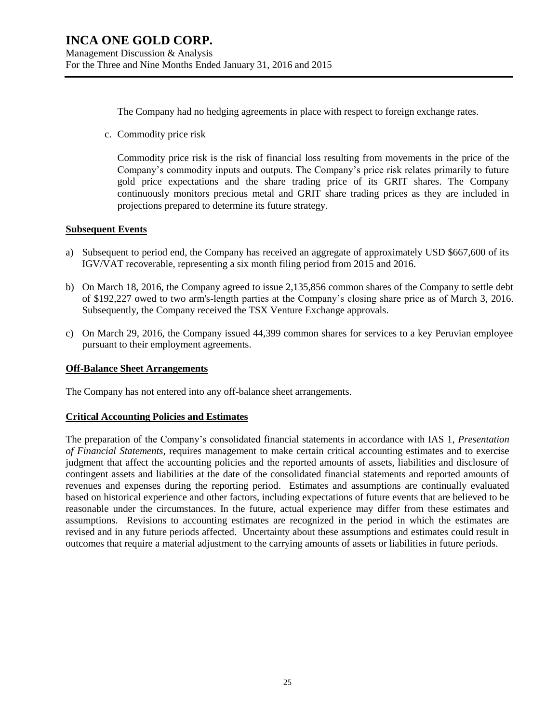The Company had no hedging agreements in place with respect to foreign exchange rates.

c. Commodity price risk

Commodity price risk is the risk of financial loss resulting from movements in the price of the Company's commodity inputs and outputs. The Company's price risk relates primarily to future gold price expectations and the share trading price of its GRIT shares. The Company continuously monitors precious metal and GRIT share trading prices as they are included in projections prepared to determine its future strategy.

### **Subsequent Events**

- a) Subsequent to period end, the Company has received an aggregate of approximately USD \$667,600 of its IGV/VAT recoverable, representing a six month filing period from 2015 and 2016.
- b) On March 18, 2016, the Company agreed to issue 2,135,856 common shares of the Company to settle debt of \$192,227 owed to two arm's-length parties at the Company's closing share price as of March 3, 2016. Subsequently, the Company received the TSX Venture Exchange approvals.
- c) On March 29, 2016, the Company issued 44,399 common shares for services to a key Peruvian employee pursuant to their employment agreements.

### **Off-Balance Sheet Arrangements**

The Company has not entered into any off-balance sheet arrangements.

### **Critical Accounting Policies and Estimates**

The preparation of the Company's consolidated financial statements in accordance with IAS 1, *Presentation of Financial Statements*, requires management to make certain critical accounting estimates and to exercise judgment that affect the accounting policies and the reported amounts of assets, liabilities and disclosure of contingent assets and liabilities at the date of the consolidated financial statements and reported amounts of revenues and expenses during the reporting period. Estimates and assumptions are continually evaluated based on historical experience and other factors, including expectations of future events that are believed to be reasonable under the circumstances. In the future, actual experience may differ from these estimates and assumptions. Revisions to accounting estimates are recognized in the period in which the estimates are revised and in any future periods affected. Uncertainty about these assumptions and estimates could result in outcomes that require a material adjustment to the carrying amounts of assets or liabilities in future periods.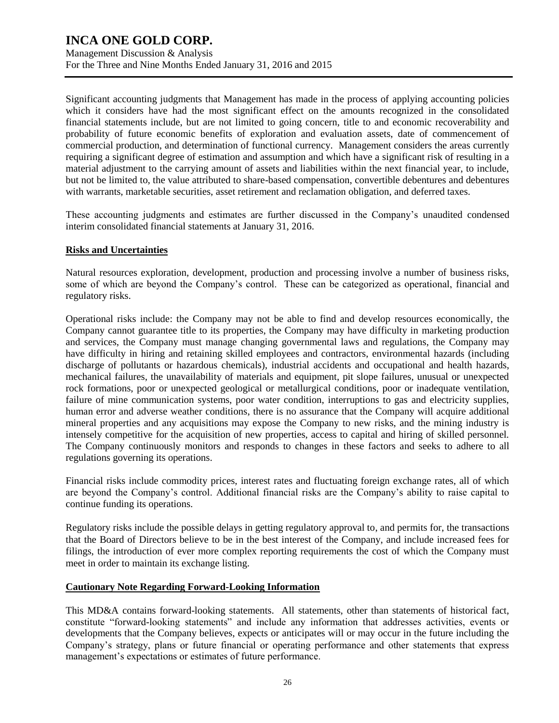Management Discussion & Analysis For the Three and Nine Months Ended January 31, 2016 and 2015

Significant accounting judgments that Management has made in the process of applying accounting policies which it considers have had the most significant effect on the amounts recognized in the consolidated financial statements include, but are not limited to going concern, title to and economic recoverability and probability of future economic benefits of exploration and evaluation assets, date of commencement of commercial production, and determination of functional currency. Management considers the areas currently requiring a significant degree of estimation and assumption and which have a significant risk of resulting in a material adjustment to the carrying amount of assets and liabilities within the next financial year, to include, but not be limited to, the value attributed to share-based compensation, convertible debentures and debentures with warrants, marketable securities, asset retirement and reclamation obligation, and deferred taxes.

These accounting judgments and estimates are further discussed in the Company's unaudited condensed interim consolidated financial statements at January 31, 2016.

#### **Risks and Uncertainties**

Natural resources exploration, development, production and processing involve a number of business risks, some of which are beyond the Company's control. These can be categorized as operational, financial and regulatory risks.

Operational risks include: the Company may not be able to find and develop resources economically, the Company cannot guarantee title to its properties, the Company may have difficulty in marketing production and services, the Company must manage changing governmental laws and regulations, the Company may have difficulty in hiring and retaining skilled employees and contractors, environmental hazards (including discharge of pollutants or hazardous chemicals), industrial accidents and occupational and health hazards, mechanical failures, the unavailability of materials and equipment, pit slope failures, unusual or unexpected rock formations, poor or unexpected geological or metallurgical conditions, poor or inadequate ventilation, failure of mine communication systems, poor water condition, interruptions to gas and electricity supplies, human error and adverse weather conditions, there is no assurance that the Company will acquire additional mineral properties and any acquisitions may expose the Company to new risks, and the mining industry is intensely competitive for the acquisition of new properties, access to capital and hiring of skilled personnel. The Company continuously monitors and responds to changes in these factors and seeks to adhere to all regulations governing its operations.

Financial risks include commodity prices, interest rates and fluctuating foreign exchange rates, all of which are beyond the Company's control. Additional financial risks are the Company's ability to raise capital to continue funding its operations.

Regulatory risks include the possible delays in getting regulatory approval to, and permits for, the transactions that the Board of Directors believe to be in the best interest of the Company, and include increased fees for filings, the introduction of ever more complex reporting requirements the cost of which the Company must meet in order to maintain its exchange listing.

### **Cautionary Note Regarding Forward-Looking Information**

This MD&A contains forward-looking statements. All statements, other than statements of historical fact, constitute "forward-looking statements" and include any information that addresses activities, events or developments that the Company believes, expects or anticipates will or may occur in the future including the Company's strategy, plans or future financial or operating performance and other statements that express management's expectations or estimates of future performance.